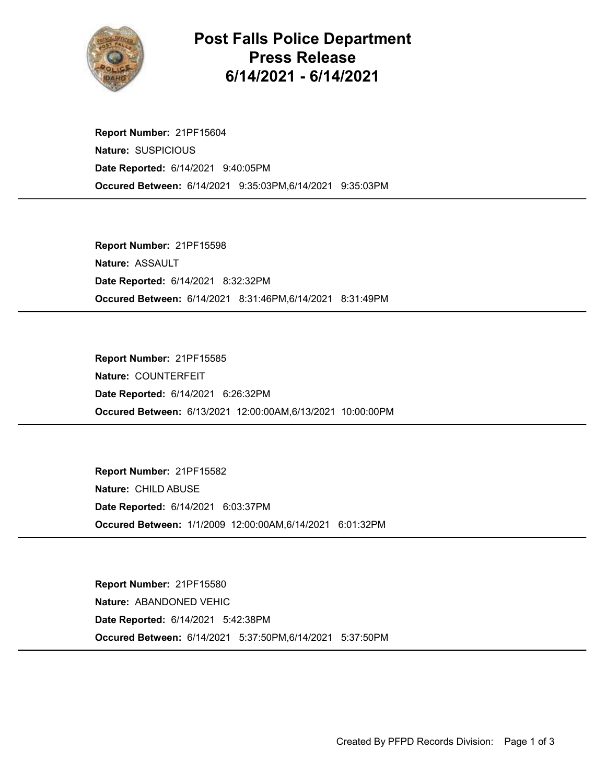

## Post Falls Police Department Press Release 6/14/2021 - 6/14/2021

Occured Between: 6/14/2021 9:35:03PM,6/14/2021 9:35:03PM Report Number: 21PF15604 Nature: SUSPICIOUS Date Reported: 6/14/2021 9:40:05PM

Occured Between: 6/14/2021 8:31:46PM,6/14/2021 8:31:49PM Report Number: 21PF15598 Nature: ASSAULT Date Reported: 6/14/2021 8:32:32PM

Occured Between: 6/13/2021 12:00:00AM,6/13/2021 10:00:00PM Report Number: 21PF15585 Nature: COUNTERFEIT Date Reported: 6/14/2021 6:26:32PM

Occured Between: 1/1/2009 12:00:00AM,6/14/2021 6:01:32PM Report Number: 21PF15582 Nature: CHILD ABUSE Date Reported: 6/14/2021 6:03:37PM

Occured Between: 6/14/2021 5:37:50PM,6/14/2021 5:37:50PM Report Number: 21PF15580 Nature: ABANDONED VEHIC Date Reported: 6/14/2021 5:42:38PM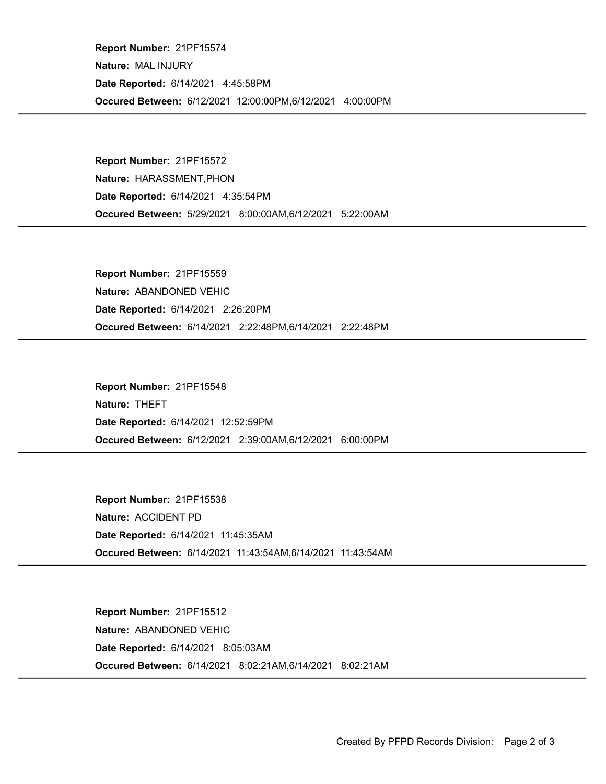Occured Between: 6/12/2021 12:00:00PM,6/12/2021 4:00:00PM Report Number: 21PF15574 Nature: MAL INJURY Date Reported: 6/14/2021 4:45:58PM

Occured Between: 5/29/2021 8:00:00AM,6/12/2021 5:22:00AM Report Number: 21PF15572 Nature: HARASSMENT,PHON Date Reported: 6/14/2021 4:35:54PM

Occured Between: 6/14/2021 2:22:48PM,6/14/2021 2:22:48PM Report Number: 21PF15559 Nature: ABANDONED VEHIC Date Reported: 6/14/2021 2:26:20PM

Occured Between: 6/12/2021 2:39:00AM,6/12/2021 6:00:00PM Report Number: 21PF15548 Nature: THEFT Date Reported: 6/14/2021 12:52:59PM

Occured Between: 6/14/2021 11:43:54AM,6/14/2021 11:43:54AM Report Number: 21PF15538 Nature: ACCIDENT PD Date Reported: 6/14/2021 11:45:35AM

Occured Between: 6/14/2021 8:02:21AM,6/14/2021 8:02:21AM Report Number: 21PF15512 Nature: ABANDONED VEHIC Date Reported: 6/14/2021 8:05:03AM